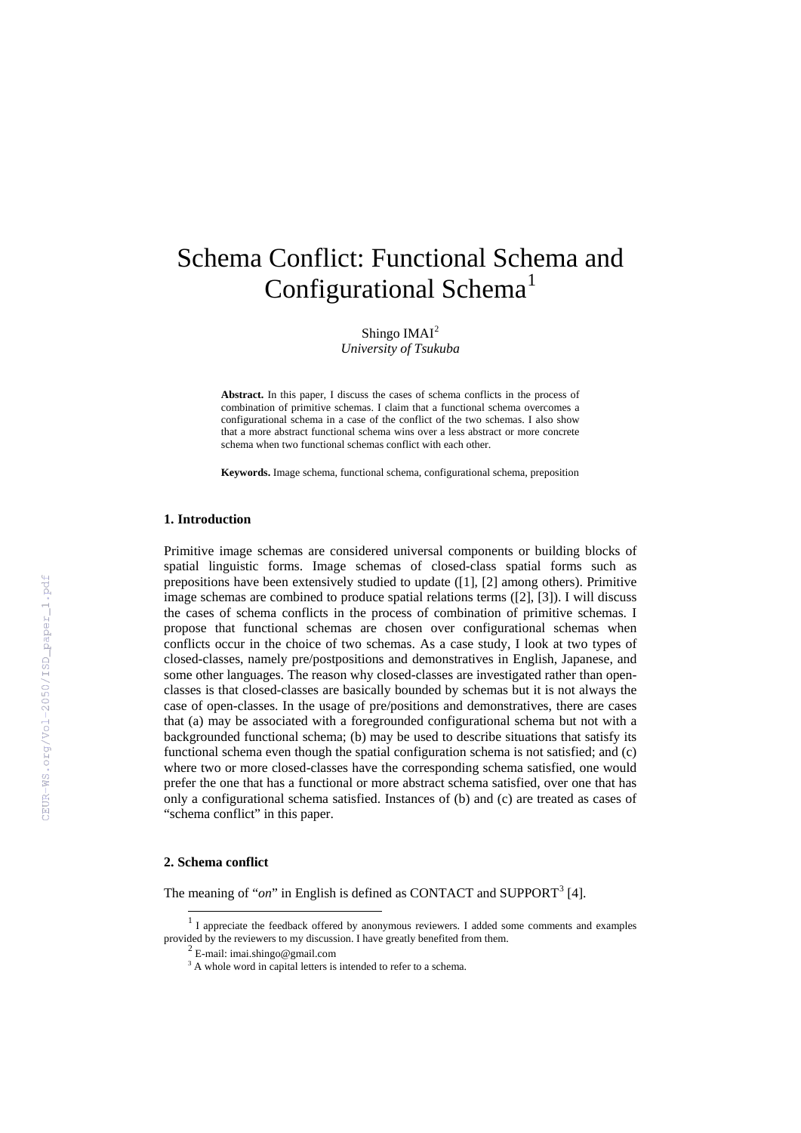# Schema Conflict: Functional Schema and Configurational Schema<sup>[1](#page-0-0)</sup>

Shingo IMAI<sup>[2](#page-0-1)</sup>

*University of Tsukuba*

**Abstract.** In this paper, I discuss the cases of schema conflicts in the process of combination of primitive schemas. I claim that a functional schema overcomes a configurational schema in a case of the conflict of the two schemas. I also show that a more abstract functional schema wins over a less abstract or more concrete schema when two functional schemas conflict with each other.

**Keywords.** Image schema, functional schema, configurational schema, preposition

## **1. Introduction**

Primitive image schemas are considered universal components or building blocks of spatial linguistic forms. Image schemas of closed-class spatial forms such as prepositions have been extensively studied to update ([1], [2] among others). Primitive image schemas are combined to produce spatial relations terms ([2], [3]). I will discuss the cases of schema conflicts in the process of combination of primitive schemas. I propose that functional schemas are chosen over configurational schemas when conflicts occur in the choice of two schemas. As a case study, I look at two types of closed-classes, namely pre/postpositions and demonstratives in English, Japanese, and some other languages. The reason why closed-classes are investigated rather than openclasses is that closed-classes are basically bounded by schemas but it is not always the case of open-classes. In the usage of pre/positions and demonstratives, there are cases that (a) may be associated with a foregrounded configurational schema but not with a backgrounded functional schema; (b) may be used to describe situations that satisfy its functional schema even though the spatial configuration schema is not satisfied; and (c) where two or more closed-classes have the corresponding schema satisfied, one would prefer the one that has a functional or more abstract schema satisfied, over one that has only a configurational schema satisfied. Instances of (b) and (c) are treated as cases of "schema conflict" in this paper.

### **2. Schema conflict**

The meaning of "*on*" in English is defined as CONTACT and SUPPORT<sup>[3](#page-0-2)</sup> [4].

<span id="page-0-2"></span><span id="page-0-1"></span><span id="page-0-0"></span> <sup>1</sup> <sup>I</sup> appreciate the feedback offered by anonymous reviewers. I added some comments and examples provided by the reviewers to my discussion. I have greatly benefited from them.<br> $^{2}$  E-mail: imai.shingo@gmail.com

<sup>&</sup>lt;sup>3</sup> A whole word in capital letters is intended to refer to a schema.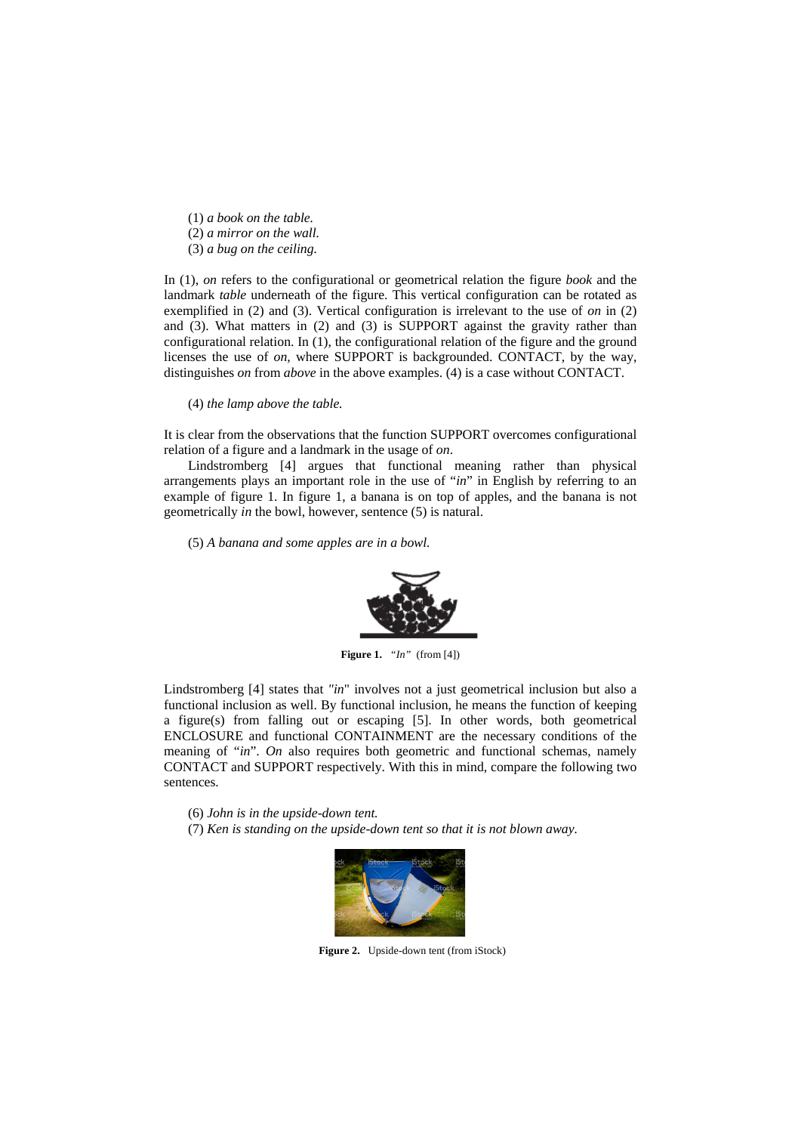(1) *a book on the table.* (2) *a mirror on the wall.*

(3) *a bug on the ceiling.*

In (1), *on* refers to the configurational or geometrical relation the figure *book* and the landmark *table* underneath of the figure. This vertical configuration can be rotated as exemplified in (2) and (3). Vertical configuration is irrelevant to the use of *on* in (2) and (3). What matters in (2) and (3) is SUPPORT against the gravity rather than configurational relation. In (1), the configurational relation of the figure and the ground licenses the use of *on,* where SUPPORT is backgrounded. CONTACT, by the way, distinguishes *on* from *above* in the above examples. (4) is a case without CONTACT.

(4) *the lamp above the table.*

It is clear from the observations that the function SUPPORT overcomes configurational relation of a figure and a landmark in the usage of *on*.

Lindstromberg [4] argues that functional meaning rather than physical arrangements plays an important role in the use of "*in*" in English by referring to an example of figure 1. In figure 1, a banana is on top of apples, and the banana is not geometrically *in* the bowl, however, sentence (5) is natural.

(5) *A banana and some apples are in a bowl.*



**Figure 1.** *"In"* (from [4])

Lindstromberg [4] states that *"in*" involves not a just geometrical inclusion but also a functional inclusion as well. By functional inclusion, he means the function of keeping a figure(s) from falling out or escaping [5]. In other words, both geometrical ENCLOSURE and functional CONTAINMENT are the necessary conditions of the meaning of "*in*". *On* also requires both geometric and functional schemas, namely CONTACT and SUPPORT respectively. With this in mind, compare the following two sentences.

(6) *John is in the upside-down tent.*

(7) *Ken is standing on the upside-down tent so that it is not blown away.*



Figure 2. Upside-down tent (from iStock)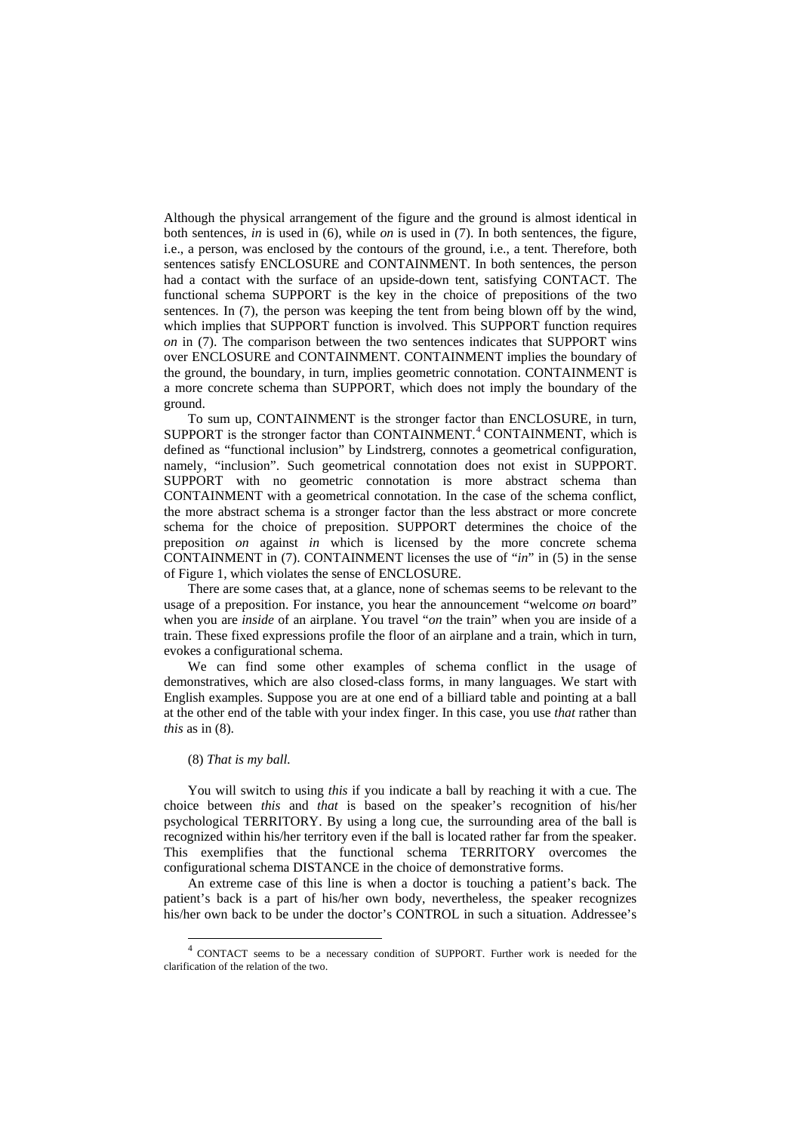Although the physical arrangement of the figure and the ground is almost identical in both sentences, *in* is used in (6), while *on* is used in (7). In both sentences, the figure, i.e., a person, was enclosed by the contours of the ground, i.e., a tent. Therefore, both sentences satisfy ENCLOSURE and CONTAINMENT. In both sentences, the person had a contact with the surface of an upside-down tent, satisfying CONTACT. The functional schema SUPPORT is the key in the choice of prepositions of the two sentences. In (7), the person was keeping the tent from being blown off by the wind, which implies that SUPPORT function is involved. This SUPPORT function requires *on* in (7). The comparison between the two sentences indicates that SUPPORT wins over ENCLOSURE and CONTAINMENT. CONTAINMENT implies the boundary of the ground, the boundary, in turn, implies geometric connotation. CONTAINMENT is a more concrete schema than SUPPORT, which does not imply the boundary of the ground.

To sum up, CONTAINMENT is the stronger factor than ENCLOSURE, in turn, SUPPORT is the stronger factor than CONTAINMENT.<sup>[4](#page-2-0)</sup> CONTAINMENT, which is defined as "functional inclusion" by Lindstrerg, connotes a geometrical configuration, namely, "inclusion". Such geometrical connotation does not exist in SUPPORT. SUPPORT with no geometric connotation is more abstract schema than CONTAINMENT with a geometrical connotation. In the case of the schema conflict, the more abstract schema is a stronger factor than the less abstract or more concrete schema for the choice of preposition. SUPPORT determines the choice of the preposition *on* against *in* which is licensed by the more concrete schema CONTAINMENT in (7). CONTAINMENT licenses the use of "*in*" in (5) in the sense of Figure 1, which violates the sense of ENCLOSURE.

There are some cases that, at a glance, none of schemas seems to be relevant to the usage of a preposition. For instance, you hear the announcement "welcome *on* board" when you are *inside* of an airplane. You travel "*on* the train" when you are inside of a train. These fixed expressions profile the floor of an airplane and a train, which in turn, evokes a configurational schema.

We can find some other examples of schema conflict in the usage of demonstratives, which are also closed-class forms, in many languages. We start with English examples. Suppose you are at one end of a billiard table and pointing at a ball at the other end of the table with your index finger. In this case, you use *that* rather than *this* as in (8).

#### (8) *That is my ball.*

You will switch to using *this* if you indicate a ball by reaching it with a cue. The choice between *this* and *that* is based on the speaker's recognition of his/her psychological TERRITORY. By using a long cue, the surrounding area of the ball is recognized within his/her territory even if the ball is located rather far from the speaker. This exemplifies that the functional schema TERRITORY overcomes the configurational schema DISTANCE in the choice of demonstrative forms.

An extreme case of this line is when a doctor is touching a patient's back. The patient's back is a part of his/her own body, nevertheless, the speaker recognizes his/her own back to be under the doctor's CONTROL in such a situation. Addressee's

<span id="page-2-0"></span> <sup>4</sup> CONTACT seems to be a necessary condition of SUPPORT. Further work is needed for the clarification of the relation of the two.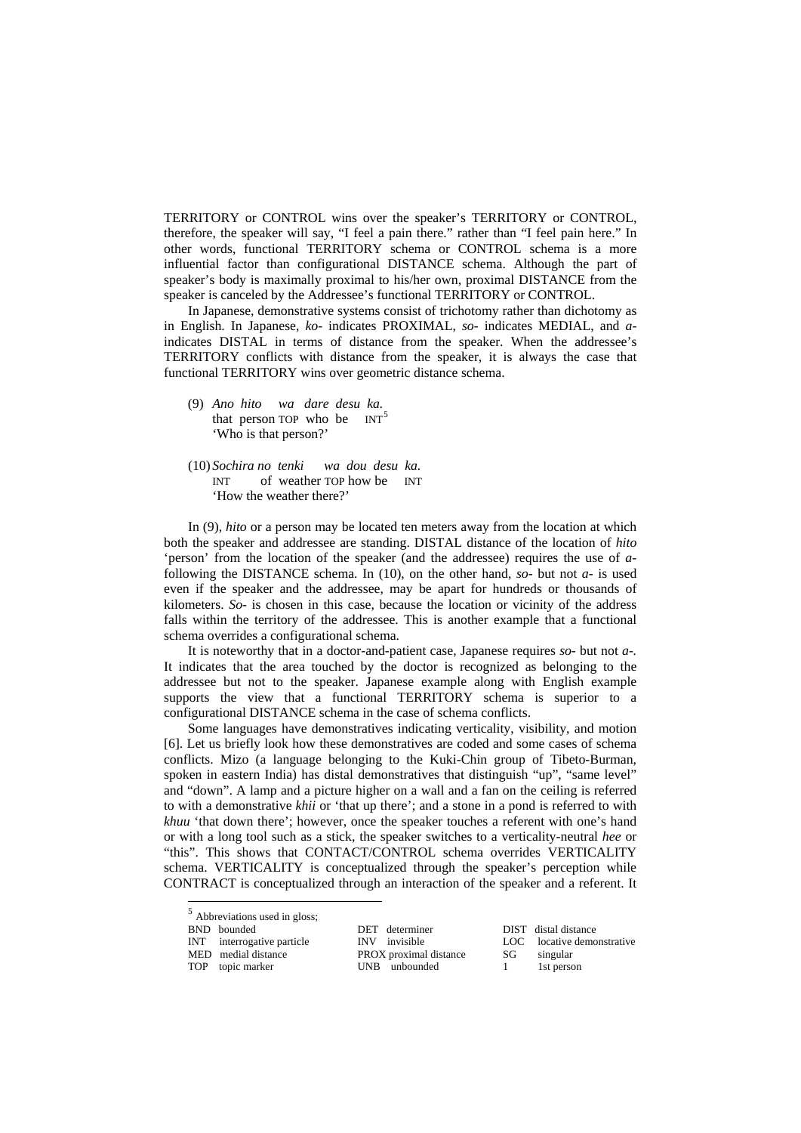TERRITORY or CONTROL wins over the speaker's TERRITORY or CONTROL, therefore, the speaker will say, "I feel a pain there." rather than "I feel pain here." In other words, functional TERRITORY schema or CONTROL schema is a more influential factor than configurational DISTANCE schema. Although the part of speaker's body is maximally proximal to his/her own, proximal DISTANCE from the speaker is canceled by the Addressee's functional TERRITORY or CONTROL.

In Japanese, demonstrative systems consist of trichotomy rather than dichotomy as in English. In Japanese, *ko-* indicates PROXIMAL, *so-* indicates MEDIAL, and *a*indicates DISTAL in terms of distance from the speaker. When the addressee's TERRITORY conflicts with distance from the speaker, it is always the case that functional TERRITORY wins over geometric distance schema.

- (9) *Ano hito wa dare desu ka.* that person TOP who be  $INT<sup>5</sup>$  $INT<sup>5</sup>$  $INT<sup>5</sup>$ 'Who is that person?'
- (10) *Sochira no tenki wa dou desu ka.* INT of weather TOP how be INT 'How the weather there?'

In (9), *hito* or a person may be located ten meters away from the location at which both the speaker and addressee are standing. DISTAL distance of the location of *hito* 'person' from the location of the speaker (and the addressee) requires the use of *a*following the DISTANCE schema. In (10), on the other hand, *so-* but not *a-* is used even if the speaker and the addressee, may be apart for hundreds or thousands of kilometers. *So-* is chosen in this case, because the location or vicinity of the address falls within the territory of the addressee. This is another example that a functional schema overrides a configurational schema.

It is noteworthy that in a doctor-and-patient case, Japanese requires *so-* but not *a-.* It indicates that the area touched by the doctor is recognized as belonging to the addressee but not to the speaker. Japanese example along with English example supports the view that a functional TERRITORY schema is superior to a configurational DISTANCE schema in the case of schema conflicts.

Some languages have demonstratives indicating verticality, visibility, and motion [6]. Let us briefly look how these demonstratives are coded and some cases of schema conflicts. Mizo (a language belonging to the Kuki-Chin group of Tibeto-Burman, spoken in eastern India) has distal demonstratives that distinguish "up", "same level" and "down". A lamp and a picture higher on a wall and a fan on the ceiling is referred to with a demonstrative *khii* or 'that up there'; and a stone in a pond is referred to with *khuu* 'that down there'; however, once the speaker touches a referent with one's hand or with a long tool such as a stick, the speaker switches to a verticality-neutral *hee* or "this". This shows that CONTACT/CONTROL schema overrides VERTICALITY schema. VERTICALITY is conceptualized through the speaker's perception while CONTRACT is conceptualized through an interaction of the speaker and a referent. It

| 5 | Abbreviations used in gloss; |
|---|------------------------------|

<span id="page-3-0"></span>

| <b>BND</b> | bounded |
|------------|---------|
|            |         |

INT interrogative particle

MED medial distance PROX proximal distance SG singular TOP topic marker UNB unbounded 1 1st person

DET determiner DIST distal distance<br>INV invisible LOC locative demonstrative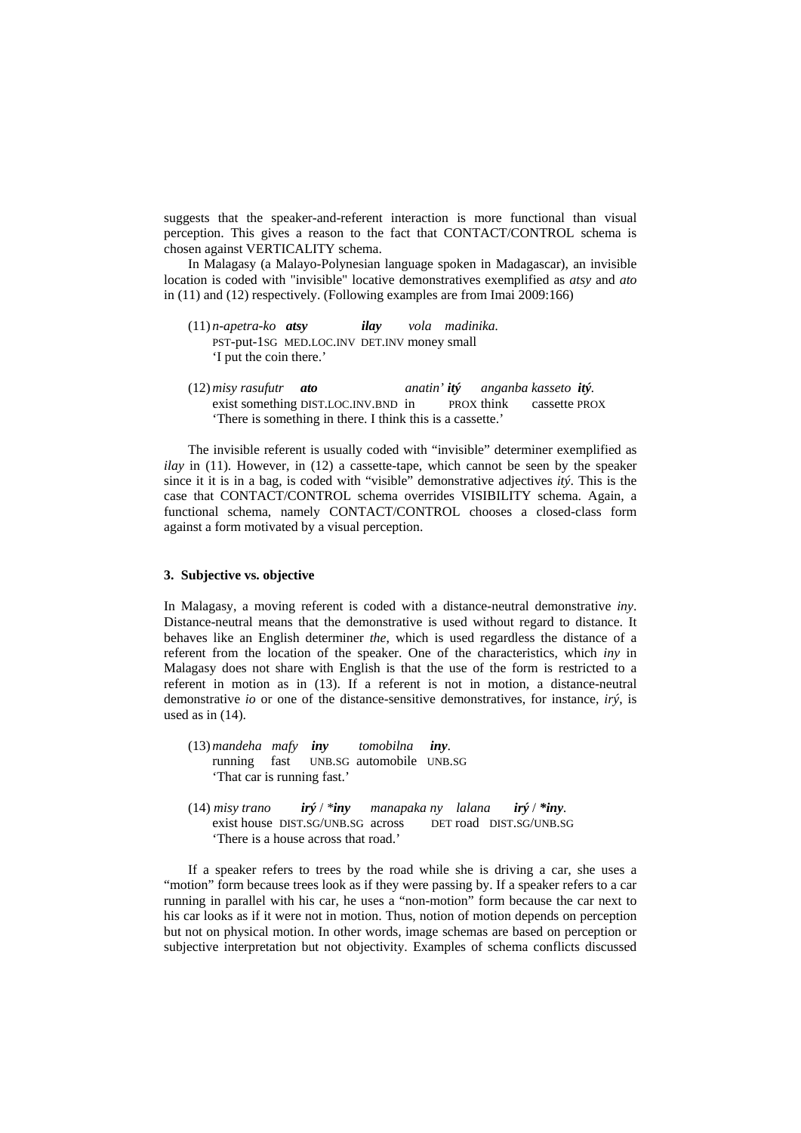suggests that the speaker-and-referent interaction is more functional than visual perception. This gives a reason to the fact that CONTACT/CONTROL schema is chosen against VERTICALITY schema.

In Malagasy (a Malayo-Polynesian language spoken in Madagascar), an invisible location is coded with "invisible" locative demonstratives exemplified as *atsy* and *ato* in (11) and (12) respectively. (Following examples are from Imai 2009:166)

- (11) *n-apetra-ko atsy ilay vola madinika.* PST-put-1SG MED.LOC.INV DET.INV money small 'I put the coin there.'
- (12)*misy rasufutr ato anatin' itý anganba kasseto itý.* exist something DIST.LOC.INV.BND in PROX think cassette PROX 'There is something in there. I think this is a cassette.'

The invisible referent is usually coded with "invisible" determiner exemplified as *ilay* in (11). However, in (12) a cassette-tape, which cannot be seen by the speaker since it it is in a bag, is coded with "visible" demonstrative adjectives *itý*. This is the case that CONTACT/CONTROL schema overrides VISIBILITY schema. Again, a functional schema, namely CONTACT/CONTROL chooses a closed-class form against a form motivated by a visual perception.

#### **3. Subjective vs. objective**

In Malagasy, a moving referent is coded with a distance-neutral demonstrative *iny*. Distance-neutral means that the demonstrative is used without regard to distance. It behaves like an English determiner *the*, which is used regardless the distance of a referent from the location of the speaker. One of the characteristics, which *iny* in Malagasy does not share with English is that the use of the form is restricted to a referent in motion as in (13). If a referent is not in motion, a distance-neutral demonstrative *io* or one of the distance-sensitive demonstratives, for instance, *irý*, is used as in (14).

(13)*mandeha mafy iny tomobilna iny*. running fast UNB.SG automobile UNB.SG 'That car is running fast.'

(14) *misy trano irý* / *\*iny manapaka ny lalana irý* / *\*iny.* exist house DIST.SG/UNB.SG across DET road DIST.SG/UNB.SG 'There is a house across that road.'

If a speaker refers to trees by the road while she is driving a car, she uses a "motion" form because trees look as if they were passing by. If a speaker refers to a car running in parallel with his car, he uses a "non-motion" form because the car next to his car looks as if it were not in motion. Thus, notion of motion depends on perception but not on physical motion. In other words, image schemas are based on perception or subjective interpretation but not objectivity. Examples of schema conflicts discussed